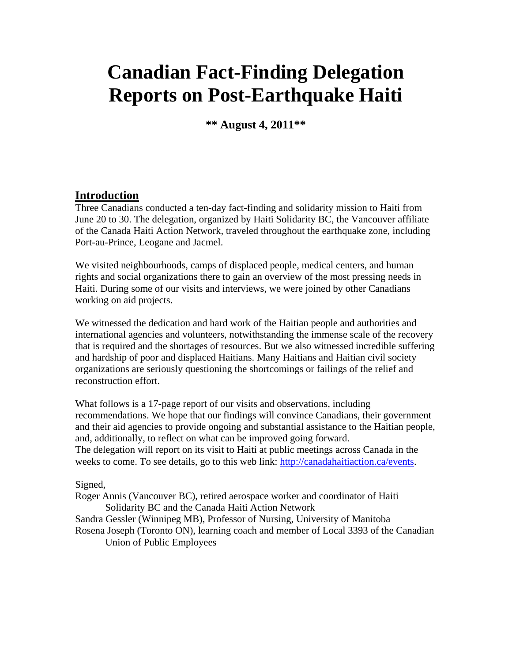# **Canadian Fact-Finding Delegation Reports on Post-Earthquake Haiti**

**\*\* August 4, 2011\*\***

#### **Introduction**

Three Canadians conducted a ten-day fact-finding and solidarity mission to Haiti from June 20 to 30. The delegation, organized by Haiti Solidarity BC, the Vancouver affiliate of the Canada Haiti Action Network, traveled throughout the earthquake zone, including Port-au-Prince, Leogane and Jacmel.

We visited neighbourhoods, camps of displaced people, medical centers, and human rights and social organizations there to gain an overview of the most pressing needs in Haiti. During some of our visits and interviews, we were joined by other Canadians working on aid projects.

We witnessed the dedication and hard work of the Haitian people and authorities and international agencies and volunteers, notwithstanding the immense scale of the recovery that is required and the shortages of resources. But we also witnessed incredible suffering and hardship of poor and displaced Haitians. Many Haitians and Haitian civil society organizations are seriously questioning the shortcomings or failings of the relief and reconstruction effort.

What follows is a 17-page report of our visits and observations, including recommendations. We hope that our findings will convince Canadians, their government and their aid agencies to provide ongoing and substantial assistance to the Haitian people, and, additionally, to reflect on what can be improved going forward. The delegation will report on its visit to Haiti at public meetings across Canada in the weeks to come. To see details, go to this web link: [http://canadahaitiaction.ca/events.](http://canadahaitiaction.ca/events)

#### Signed,

Roger Annis (Vancouver BC), retired aerospace worker and coordinator of Haiti Solidarity BC and the Canada Haiti Action Network Sandra Gessler (Winnipeg MB), Professor of Nursing, University of Manitoba

Rosena Joseph (Toronto ON), learning coach and member of Local 3393 of the Canadian Union of Public Employees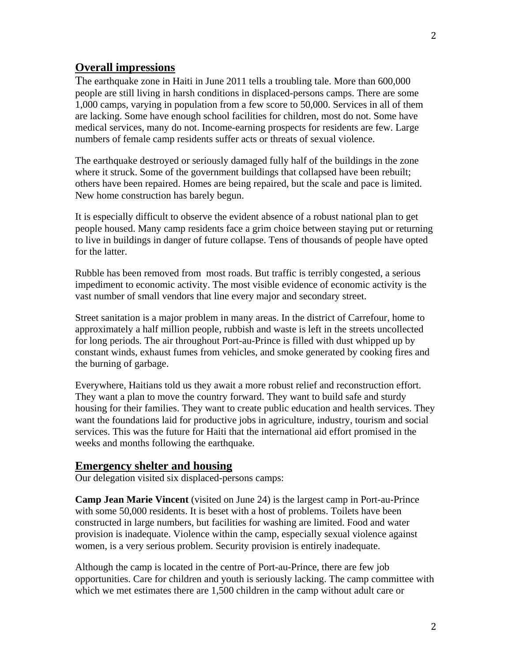## **Overall impressions**

The earthquake zone in Haiti in June 2011 tells a troubling tale. More than 600,000 people are still living in harsh conditions in displaced-persons camps. There are some 1,000 camps, varying in population from a few score to 50,000. Services in all of them are lacking. Some have enough school facilities for children, most do not. Some have medical services, many do not. Income-earning prospects for residents are few. Large numbers of female camp residents suffer acts or threats of sexual violence.

The earthquake destroyed or seriously damaged fully half of the buildings in the zone where it struck. Some of the government buildings that collapsed have been rebuilt; others have been repaired. Homes are being repaired, but the scale and pace is limited. New home construction has barely begun.

It is especially difficult to observe the evident absence of a robust national plan to get people housed. Many camp residents face a grim choice between staying put or returning to live in buildings in danger of future collapse. Tens of thousands of people have opted for the latter.

Rubble has been removed from most roads. But traffic is terribly congested, a serious impediment to economic activity. The most visible evidence of economic activity is the vast number of small vendors that line every major and secondary street.

Street sanitation is a major problem in many areas. In the district of Carrefour, home to approximately a half million people, rubbish and waste is left in the streets uncollected for long periods. The air throughout Port-au-Prince is filled with dust whipped up by constant winds, exhaust fumes from vehicles, and smoke generated by cooking fires and the burning of garbage.

Everywhere, Haitians told us they await a more robust relief and reconstruction effort. They want a plan to move the country forward. They want to build safe and sturdy housing for their families. They want to create public education and health services. They want the foundations laid for productive jobs in agriculture, industry, tourism and social services. This was the future for Haiti that the international aid effort promised in the weeks and months following the earthquake.

#### **Emergency shelter and housing**

Our delegation visited six displaced-persons camps:

**Camp Jean Marie Vincent** (visited on June 24) is the largest camp in Port-au-Prince with some 50,000 residents. It is beset with a host of problems. Toilets have been constructed in large numbers, but facilities for washing are limited. Food and water provision is inadequate. Violence within the camp, especially sexual violence against women, is a very serious problem. Security provision is entirely inadequate.

Although the camp is located in the centre of Port-au-Prince, there are few job opportunities. Care for children and youth is seriously lacking. The camp committee with which we met estimates there are 1,500 children in the camp without adult care or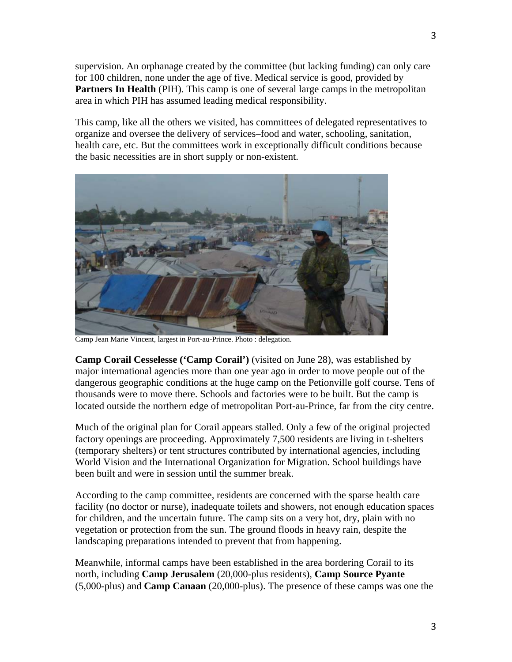supervision. An orphanage created by the committee (but lacking funding) can only care for 100 children, none under the age of five. Medical service is good, provided by **Partners In Health** (PIH). This camp is one of several large camps in the metropolitan area in which PIH has assumed leading medical responsibility.

This camp, like all the others we visited, has committees of delegated representatives to organize and oversee the delivery of services–food and water, schooling, sanitation, health care, etc. But the committees work in exceptionally difficult conditions because the basic necessities are in short supply or non-existent.



Camp Jean Marie Vincent, largest in Port-au-Prince. Photo : delegation.

**Camp Corail Cesselesse ('Camp Corail')** (visited on June 28), was established by major international agencies more than one year ago in order to move people out of the dangerous geographic conditions at the huge camp on the Petionville golf course. Tens of thousands were to move there. Schools and factories were to be built. But the camp is located outside the northern edge of metropolitan Port-au-Prince, far from the city centre.

Much of the original plan for Corail appears stalled. Only a few of the original projected factory openings are proceeding. Approximately 7,500 residents are living in t-shelters (temporary shelters) or tent structures contributed by international agencies, including World Vision and the International Organization for Migration. School buildings have been built and were in session until the summer break.

According to the camp committee, residents are concerned with the sparse health care facility (no doctor or nurse), inadequate toilets and showers, not enough education spaces for children, and the uncertain future. The camp sits on a very hot, dry, plain with no vegetation or protection from the sun. The ground floods in heavy rain, despite the landscaping preparations intended to prevent that from happening.

Meanwhile, informal camps have been established in the area bordering Corail to its north, including **Camp Jerusalem** (20,000-plus residents), **Camp Source Pyante** (5,000-plus) and **Camp Canaan** (20,000-plus). The presence of these camps was one the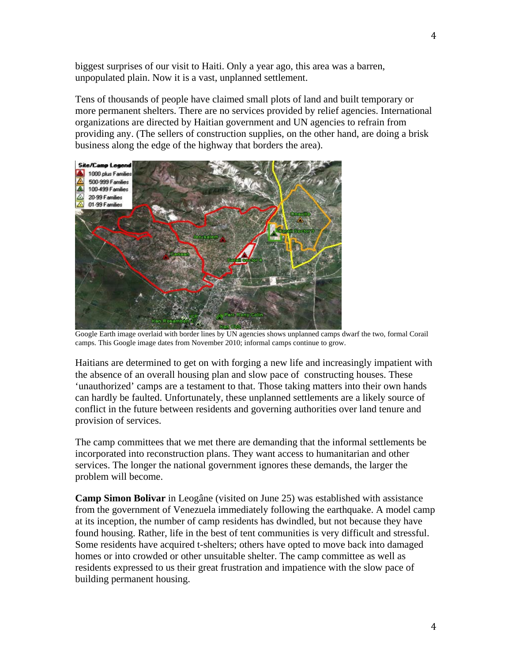biggest surprises of our visit to Haiti. Only a year ago, this area was a barren, unpopulated plain. Now it is a vast, unplanned settlement.

Tens of thousands of people have claimed small plots of land and built temporary or more permanent shelters. There are no services provided by relief agencies. International organizations are directed by Haitian government and UN agencies to refrain from providing any. (The sellers of construction supplies, on the other hand, are doing a brisk business along the edge of the highway that borders the area).



Google Earth image overlaid with border lines by UN agencies shows unplanned camps dwarf the two, formal Corail camps. This Google image dates from November 2010; informal camps continue to grow.

Haitians are determined to get on with forging a new life and increasingly impatient with the absence of an overall housing plan and slow pace of constructing houses. These 'unauthorized' camps are a testament to that. Those taking matters into their own hands can hardly be faulted. Unfortunately, these unplanned settlements are a likely source of conflict in the future between residents and governing authorities over land tenure and provision of services.

The camp committees that we met there are demanding that the informal settlements be incorporated into reconstruction plans. They want access to humanitarian and other services. The longer the national government ignores these demands, the larger the problem will become.

**Camp Simon Bolivar** in Leogâne (visited on June 25) was established with assistance from the government of Venezuela immediately following the earthquake. A model camp at its inception, the number of camp residents has dwindled, but not because they have found housing. Rather, life in the best of tent communities is very difficult and stressful. Some residents have acquired t-shelters; others have opted to move back into damaged homes or into crowded or other unsuitable shelter. The camp committee as well as residents expressed to us their great frustration and impatience with the slow pace of building permanent housing.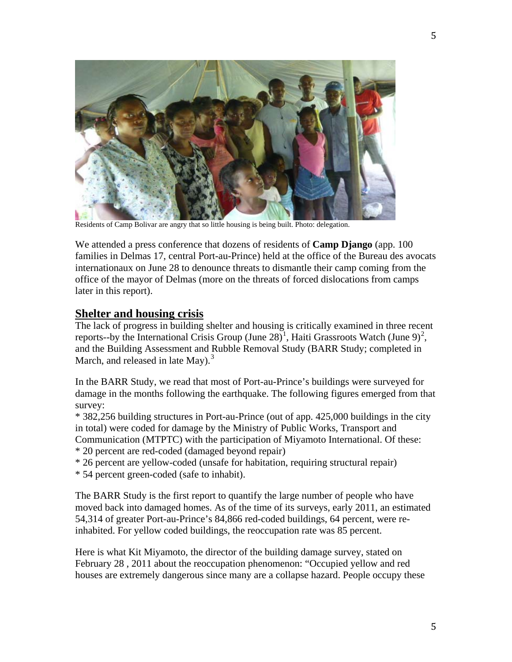

Residents of Camp Bolivar are angry that so little housing is being built. Photo: delegation.

We attended a press conference that dozens of residents of **Camp Django** (app. 100 families in Delmas 17, central Port-au-Prince) held at the office of the Bureau des avocats internationaux on June 28 to denounce threats to dismantle their camp coming from the office of the mayor of Delmas (more on the threats of forced dislocations from camps later in this report).

#### **Shelter and housing crisis**

The lack of progress in building shelter and housing is critically examined in three recent reports--by the International Crisis Group (June 28)<sup>[1](#page-16-0)</sup>, Haiti Grassroots Watch (June 9)<sup>[2](#page-16-1)</sup>, and the Building Assessment and Rubble Removal Study (BARR Study; completed in March, and released in late May). $3$ 

In the BARR Study, we read that most of Port-au-Prince's buildings were surveyed for damage in the months following the earthquake. The following figures emerged from that survey:

\* 382,256 building structures in Port-au-Prince (out of app. 425,000 buildings in the city in total) were coded for damage by the Ministry of Public Works, Transport and Communication (MTPTC) with the participation of Miyamoto International. Of these: \* 20 percent are red-coded (damaged beyond repair)

\* 26 percent are yellow-coded (unsafe for habitation, requiring structural repair)

\* 54 percent green-coded (safe to inhabit).

The BARR Study is the first report to quantify the large number of people who have moved back into damaged homes. As of the time of its surveys, early 2011, an estimated 54,314 of greater Port-au-Prince's 84,866 red-coded buildings, 64 percent, were reinhabited. For yellow coded buildings, the reoccupation rate was 85 percent.

Here is what Kit Miyamoto, the director of the building damage survey, stated on February 28 , 2011 about the reoccupation phenomenon: "Occupied yellow and red houses are extremely dangerous since many are a collapse hazard. People occupy these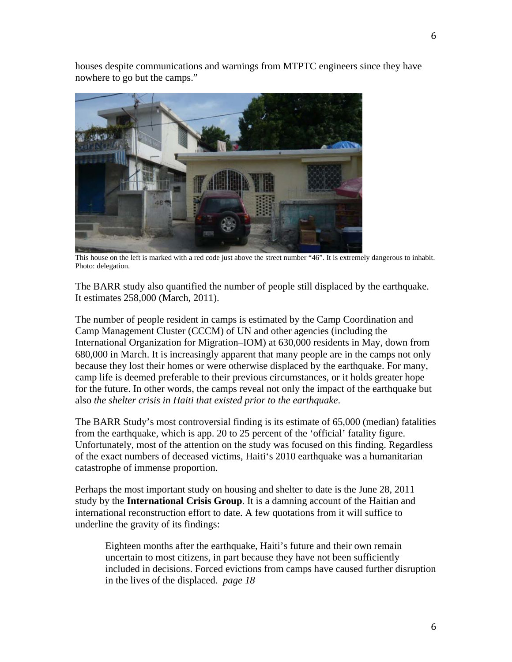houses despite communications and warnings from MTPTC engineers since they have nowhere to go but the camps."



This house on the left is marked with a red code just above the street number "46". It is extremely dangerous to inhabit. Photo: delegation.

The BARR study also quantified the number of people still displaced by the earthquake. It estimates 258,000 (March, 2011).

The number of people resident in camps is estimated by the Camp Coordination and Camp Management Cluster (CCCM) of UN and other agencies (including the International Organization for Migration–IOM) at 630,000 residents in May, down from 680,000 in March. It is increasingly apparent that many people are in the camps not only because they lost their homes or were otherwise displaced by the earthquake. For many, camp life is deemed preferable to their previous circumstances, or it holds greater hope for the future. In other words, the camps reveal not only the impact of the earthquake but also *the shelter crisis in Haiti that existed prior to the earthquake*.

The BARR Study's most controversial finding is its estimate of 65,000 (median) fatalities from the earthquake, which is app. 20 to 25 percent of the 'official' fatality figure. Unfortunately, most of the attention on the study was focused on this finding. Regardless of the exact numbers of deceased victims, Haiti's 2010 earthquake was a humanitarian catastrophe of immense proportion.

Perhaps the most important study on housing and shelter to date is the June 28, 2011 study by the **International Crisis Group**. It is a damning account of the Haitian and international reconstruction effort to date. A few quotations from it will suffice to underline the gravity of its findings:

Eighteen months after the earthquake, Haiti's future and their own remain uncertain to most citizens, in part because they have not been sufficiently included in decisions. Forced evictions from camps have caused further disruption in the lives of the displaced. *page 18*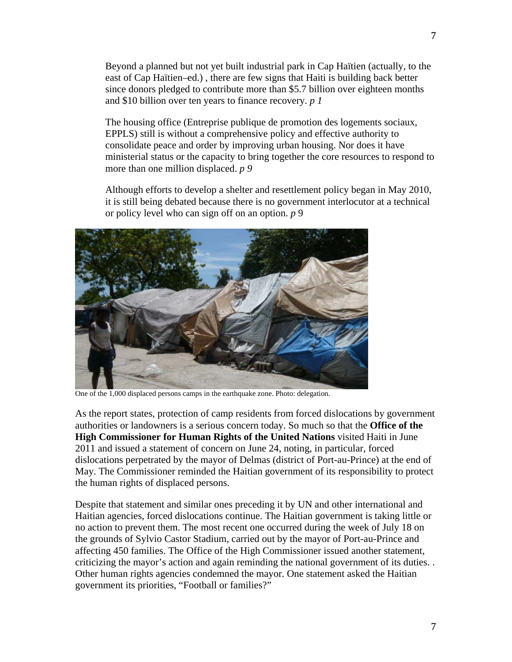Beyond a planned but not yet built industrial park in Cap Haïtien (actually, to the east of Cap Haïtien–ed.) , there are few signs that Haiti is building back better since donors pledged to contribute more than \$5.7 billion over eighteen months and \$10 billion over ten years to finance recovery. *p 1*

The housing office (Entreprise publique de promotion des logements sociaux, EPPLS) still is without a comprehensive policy and effective authority to consolidate peace and order by improving urban housing. Nor does it have ministerial status or the capacity to bring together the core resources to respond to more than one million displaced. *p 9*

Although efforts to develop a shelter and resettlement policy began in May 2010, it is still being debated because there is no government interlocutor at a technical or policy level who can sign off on an option. *p* 9



One of the 1,000 displaced persons camps in the earthquake zone. Photo: delegation.

As the report states, protection of camp residents from forced dislocations by government authorities or landowners is a serious concern today. So much so that the **Office of the High Commissioner for Human Rights of the United Nations** visited Haiti in June 2011 and issued a statement of concern on June 24, noting, in particular, forced dislocations perpetrated by the mayor of Delmas (district of Port-au-Prince) at the end of May. The Commissioner reminded the Haitian government of its responsibility to protect the human rights of displaced persons.

Despite that statement and similar ones preceding it by UN and other international and Haitian agencies, forced dislocations continue. The Haitian government is taking little or no action to prevent them. The most recent one occurred during the week of July 18 on the grounds of Sylvio Castor Stadium, carried out by the mayor of Port-au-Prince and affecting 450 families. The Office of the High Commissioner issued another statement, criticizing the mayor's action and again reminding the national government of its duties. . Other human rights agencies condemned the mayor. One statement asked the Haitian government its priorities, "Football or families?"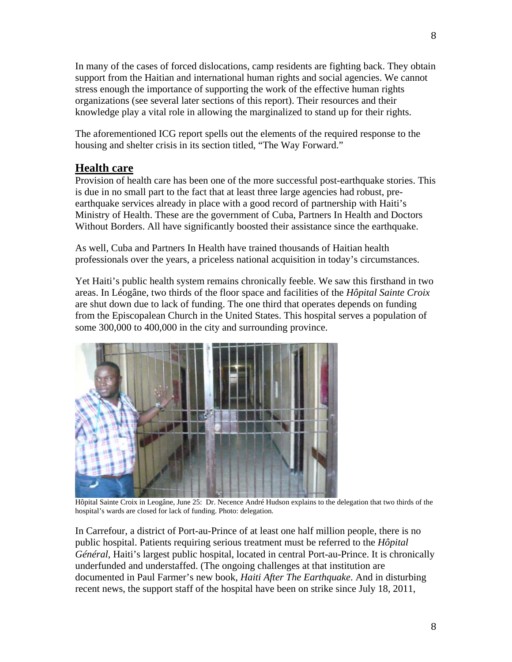In many of the cases of forced dislocations, camp residents are fighting back. They obtain support from the Haitian and international human rights and social agencies. We cannot stress enough the importance of supporting the work of the effective human rights organizations (see several later sections of this report). Their resources and their knowledge play a vital role in allowing the marginalized to stand up for their rights.

The aforementioned ICG report spells out the elements of the required response to the housing and shelter crisis in its section titled, "The Way Forward."

## **Health care**

Provision of health care has been one of the more successful post-earthquake stories. This is due in no small part to the fact that at least three large agencies had robust, preearthquake services already in place with a good record of partnership with Haiti's Ministry of Health. These are the government of Cuba, Partners In Health and Doctors Without Borders. All have significantly boosted their assistance since the earthquake.

As well, Cuba and Partners In Health have trained thousands of Haitian health professionals over the years, a priceless national acquisition in today's circumstances.

Yet Haiti's public health system remains chronically feeble. We saw this firsthand in two areas. In Léogâne, two thirds of the floor space and facilities of the *Hôpital Sainte Croix* are shut down due to lack of funding. The one third that operates depends on funding from the Episcopalean Church in the United States. This hospital serves a population of some 300,000 to 400,000 in the city and surrounding province.



Hôpital Sainte Croix in Leogâne, June 25: Dr. Necence André Hudson explains to the delegation that two thirds of the hospital's wards are closed for lack of funding. Photo: delegation.

In Carrefour, a district of Port-au-Prince of at least one half million people, there is no public hospital. Patients requiring serious treatment must be referred to the *Hôpital Général*, Haiti's largest public hospital, located in central Port-au-Prince. It is chronically underfunded and understaffed. (The ongoing challenges at that institution are documented in Paul Farmer's new book, *Haiti After The Earthquake*. And in disturbing recent news, the support staff of the hospital have been on strike since July 18, 2011,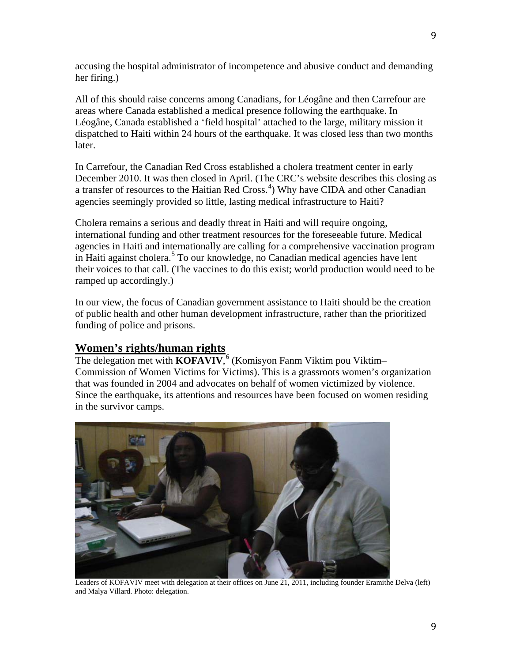accusing the hospital administrator of incompetence and abusive conduct and demanding her firing.)

All of this should raise concerns among Canadians, for Léogâne and then Carrefour are areas where Canada established a medical presence following the earthquake. In Léogâne, Canada established a 'field hospital' attached to the large, military mission it dispatched to Haiti within 24 hours of the earthquake. It was closed less than two months later.

In Carrefour, the Canadian Red Cross established a cholera treatment center in early December 2010. It was then closed in April. (The CRC's website describes this closing as a transfer of resources to the Haitian Red Cross.<sup>[4](#page-16-3)</sup>) Why have CIDA and other Canadian agencies seemingly provided so little, lasting medical infrastructure to Haiti?

Cholera remains a serious and deadly threat in Haiti and will require ongoing, international funding and other treatment resources for the foreseeable future. Medical agencies in Haiti and internationally are calling for a comprehensive vaccination program in Haiti against cholera. [5](#page-16-4) To our knowledge, no Canadian medical agencies have lent their voices to that call. (The vaccines to do this exist; world production would need to be ramped up accordingly.)

In our view, the focus of Canadian government assistance to Haiti should be the creation of public health and other human development infrastructure, rather than the prioritized funding of police and prisons.

## **Women's rights/human rights**

The delegation met with **KOFAVIV**,<sup>[6](#page-16-5)</sup> (Komisyon Fanm Viktim pou Viktim-Commission of Women Victims for Victims). This is a grassroots women's organization that was founded in 2004 and advocates on behalf of women victimized by violence. Since the earthquake, its attentions and resources have been focused on women residing in the survivor camps.



Leaders of KOFAVIV meet with delegation at their offices on June 21, 2011, including founder Eramithe Delva (left) and Malya Villard. Photo: delegation.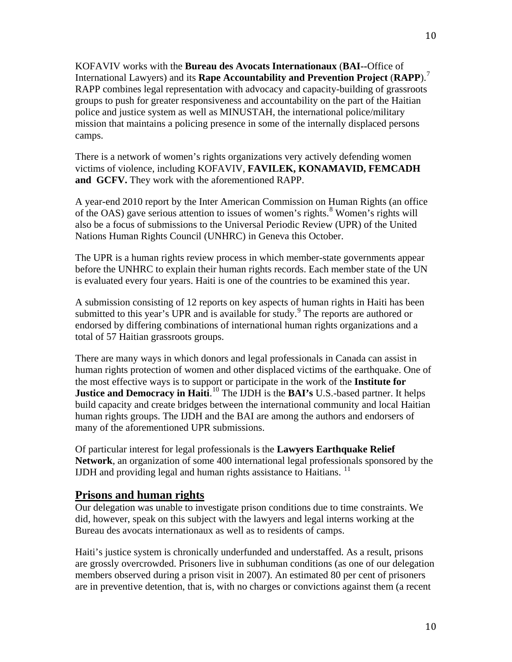KOFAVIV works with the **Bureau des Avocats Internationaux** (**BAI--**Office of International Lawyers) and its **Rape Accountability and Prevention Project** (**RAPP**).[7](#page-16-6) RAPP combines legal representation with advocacy and capacity-building of grassroots groups to push for greater responsiveness and accountability on the part of the Haitian police and justice system as well as MINUSTAH, the international police/military mission that maintains a policing presence in some of the internally displaced persons camps.

There is a network of women's rights organizations very actively defending women victims of violence, including KOFAVIV, **FAVILEK, KONAMAVID, FEMCADH and GCFV.** They work with the aforementioned RAPP.

A year-end 2010 report by the Inter American Commission on Human Rights (an office of the OAS) gave serious attention to issues of women's rights.<sup>[8](#page-16-7)</sup> Women's rights will also be a focus of submissions to the Universal Periodic Review (UPR) of the United Nations Human Rights Council (UNHRC) in Geneva this October.

The UPR is a human rights review process in which member-state governments appear before the UNHRC to explain their human rights records. Each member state of the UN is evaluated every four years. Haiti is one of the countries to be examined this year.

A submission consisting of 12 reports on key aspects of human rights in Haiti has been submitted to this year's UPR and is available for study.<sup>[9](#page-16-8)</sup> The reports are authored or endorsed by differing combinations of international human rights organizations and a total of 57 Haitian grassroots groups.

There are many ways in which donors and legal professionals in Canada can assist in human rights protection of women and other displaced victims of the earthquake. One of the most effective ways is to support or participate in the work of the **Institute for Justice and Democracy in Haiti.** <sup>[10](#page-16-9)</sup> The IJDH is the **BAI's** U.S.-based partner. It helps build capacity and create bridges between the international community and local Haitian human rights groups. The IJDH and the BAI are among the authors and endorsers of many of the aforementioned UPR submissions.

Of particular interest for legal professionals is the **Lawyers Earthquake Relief Network**, an organization of some 400 international legal professionals sponsored by the IJDH and providing legal and human rights assistance to Haitians. [11](#page-16-10)

#### **Prisons and human rights**

Our delegation was unable to investigate prison conditions due to time constraints. We did, however, speak on this subject with the lawyers and legal interns working at the Bureau des avocats internationaux as well as to residents of camps.

Haiti's justice system is chronically underfunded and understaffed. As a result, prisons are grossly overcrowded. Prisoners live in subhuman conditions (as one of our delegation members observed during a prison visit in 2007). An estimated 80 per cent of prisoners are in preventive detention, that is, with no charges or convictions against them (a recent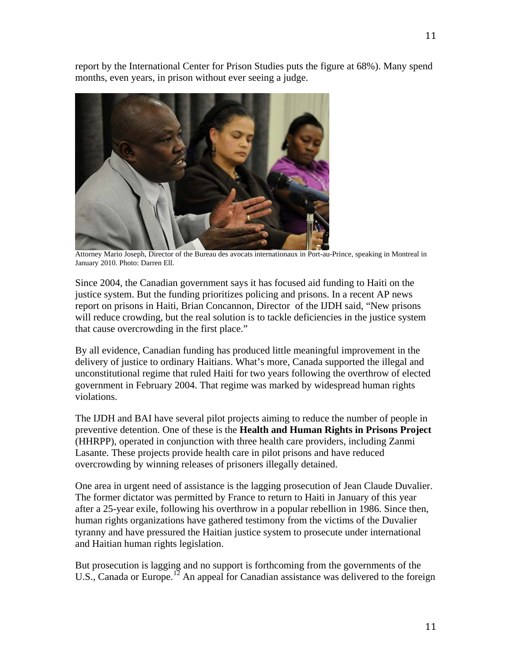report by the International Center for Prison Studies puts the figure at 68%). Many spend months, even years, in prison without ever seeing a judge.



Attorney Mario Joseph, Director of the Bureau des avocats internationaux in Port-au-Prince, speaking in Montreal in January 2010. Photo: Darren Ell.

Since 2004, the Canadian government says it has focused aid funding to Haiti on the justice system. But the funding prioritizes policing and prisons. In a recent AP news report on prisons in Haiti, Brian Concannon, Director of the IJDH said, "New prisons will reduce crowding, but the real solution is to tackle deficiencies in the justice system that cause overcrowding in the first place."

By all evidence, Canadian funding has produced little meaningful improvement in the delivery of justice to ordinary Haitians. What's more, Canada supported the illegal and unconstitutional regime that ruled Haiti for two years following the overthrow of elected government in February 2004. That regime was marked by widespread human rights violations.

The IJDH and BAI have several pilot projects aiming to reduce the number of people in preventive detention. One of these is the **Health and Human Rights in Prisons Project** (HHRPP), operated in conjunction with three health care providers, including Zanmi Lasante. These projects provide health care in pilot prisons and have reduced overcrowding by winning releases of prisoners illegally detained.

One area in urgent need of assistance is the lagging prosecution of Jean Claude Duvalier. The former dictator was permitted by France to return to Haiti in January of this year after a 25-year exile, following his overthrow in a popular rebellion in 1986. Since then, human rights organizations have gathered testimony from the victims of the Duvalier tyranny and have pressured the Haitian justice system to prosecute under international and Haitian human rights legislation.

But prosecution is lagging and no support is forthcoming from the governments of the U.S., Canada or Europe.<sup>[12](#page-16-11)</sup> An appeal for Canadian assistance was delivered to the foreign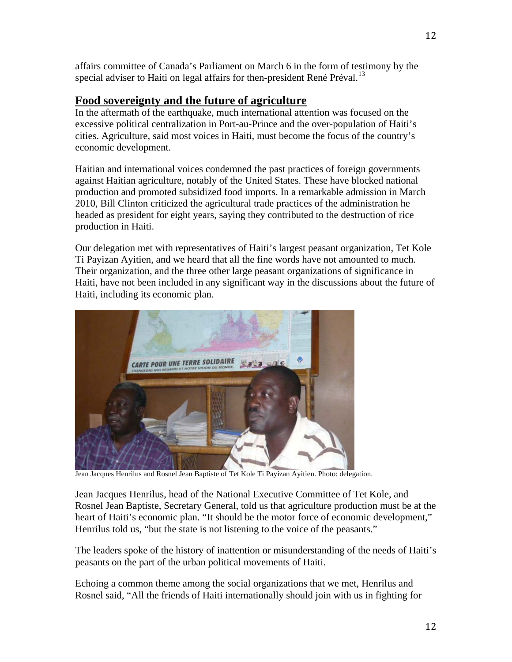affairs committee of Canada's Parliament on March 6 in the form of testimony by the special adviser to Haiti on legal affairs for then-president René Préval.<sup>[13](#page-16-12)</sup>

## **Food sovereignty and the future of agriculture**

In the aftermath of the earthquake, much international attention was focused on the excessive political centralization in Port-au-Prince and the over-population of Haiti's cities. Agriculture, said most voices in Haiti, must become the focus of the country's economic development.

Haitian and international voices condemned the past practices of foreign governments against Haitian agriculture, notably of the United States. These have blocked national production and promoted subsidized food imports. In a remarkable admission in March 2010, Bill Clinton criticized the agricultural trade practices of the administration he headed as president for eight years, saying they contributed to the destruction of rice production in Haiti.

Our delegation met with representatives of Haiti's largest peasant organization, Tet Kole Ti Payizan Ayitien, and we heard that all the fine words have not amounted to much. Their organization, and the three other large peasant organizations of significance in Haiti, have not been included in any significant way in the discussions about the future of Haiti, including its economic plan.



Jean Jacques Henrilus and Rosnel Jean Baptiste of Tet Kole Ti Payizan Ayitien. Photo: delegation.

Jean Jacques Henrilus, head of the National Executive Committee of Tet Kole, and Rosnel Jean Baptiste, Secretary General, told us that agriculture production must be at the heart of Haiti's economic plan. "It should be the motor force of economic development," Henrilus told us, "but the state is not listening to the voice of the peasants."

The leaders spoke of the history of inattention or misunderstanding of the needs of Haiti's peasants on the part of the urban political movements of Haiti.

Echoing a common theme among the social organizations that we met, Henrilus and Rosnel said, "All the friends of Haiti internationally should join with us in fighting for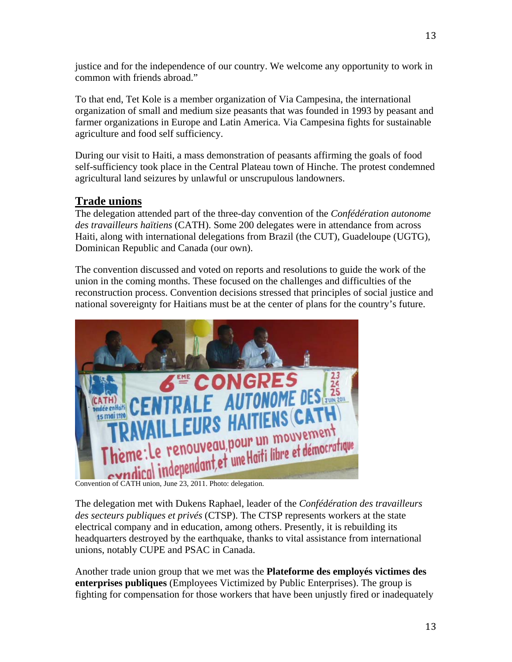justice and for the independence of our country. We welcome any opportunity to work in common with friends abroad."

To that end, Tet Kole is a member organization of Via Campesina, the international organization of small and medium size peasants that was founded in 1993 by peasant and farmer organizations in Europe and Latin America. Via Campesina fights for sustainable agriculture and food self sufficiency.

During our visit to Haiti, a mass demonstration of peasants affirming the goals of food self-sufficiency took place in the Central Plateau town of Hinche. The protest condemned agricultural land seizures by unlawful or unscrupulous landowners.

## **Trade unions**

The delegation attended part of the three-day convention of the *Confédération autonome des travailleurs haïtiens* (CATH). Some 200 delegates were in attendance from across Haiti, along with international delegations from Brazil (the CUT), Guadeloupe (UGTG), Dominican Republic and Canada (our own).

The convention discussed and voted on reports and resolutions to guide the work of the union in the coming months. These focused on the challenges and difficulties of the reconstruction process. Convention decisions stressed that principles of social justice and national sovereignty for Haitians must be at the center of plans for the country's future.



The delegation met with Dukens Raphael, leader of the *Confédération des travailleurs des secteurs publiques et privés* (CTSP). The CTSP represents workers at the state electrical company and in education, among others. Presently, it is rebuilding its headquarters destroyed by the earthquake, thanks to vital assistance from international unions, notably CUPE and PSAC in Canada.

Another trade union group that we met was the **Plateforme des employés victimes des enterprises publiques** (Employees Victimized by Public Enterprises). The group is fighting for compensation for those workers that have been unjustly fired or inadequately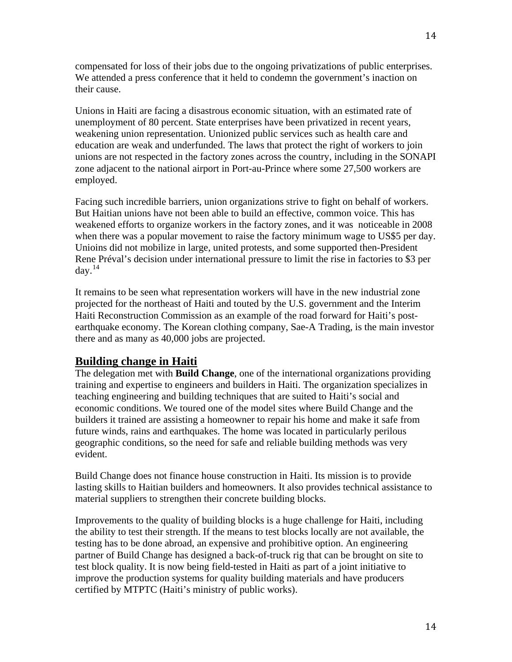compensated for loss of their jobs due to the ongoing privatizations of public enterprises. We attended a press conference that it held to condemn the government's inaction on their cause.

Unions in Haiti are facing a disastrous economic situation, with an estimated rate of unemployment of 80 percent. State enterprises have been privatized in recent years, weakening union representation. Unionized public services such as health care and education are weak and underfunded. The laws that protect the right of workers to join unions are not respected in the factory zones across the country, including in the SONAPI zone adjacent to the national airport in Port-au-Prince where some 27,500 workers are employed.

Facing such incredible barriers, union organizations strive to fight on behalf of workers. But Haitian unions have not been able to build an effective, common voice. This has weakened efforts to organize workers in the factory zones, and it was noticeable in 2008 when there was a popular movement to raise the factory minimum wage to US\$5 per day. Unioins did not mobilize in large, united protests, and some supported then-President Rene Préval's decision under international pressure to limit the rise in factories to \$3 per day. $^{14}$  $^{14}$  $^{14}$ 

It remains to be seen what representation workers will have in the new industrial zone projected for the northeast of Haiti and touted by the U.S. government and the Interim Haiti Reconstruction Commission as an example of the road forward for Haiti's postearthquake economy. The Korean clothing company, Sae-A Trading, is the main investor there and as many as 40,000 jobs are projected.

## **Building change in Haiti**

The delegation met with **Build Change**, one of the international organizations providing training and expertise to engineers and builders in Haiti. The organization specializes in teaching engineering and building techniques that are suited to Haiti's social and economic conditions. We toured one of the model sites where Build Change and the builders it trained are assisting a homeowner to repair his home and make it safe from future winds, rains and earthquakes. The home was located in particularly perilous geographic conditions, so the need for safe and reliable building methods was very evident.

Build Change does not finance house construction in Haiti. Its mission is to provide lasting skills to Haitian builders and homeowners. It also provides technical assistance to material suppliers to strengthen their concrete building blocks.

Improvements to the quality of building blocks is a huge challenge for Haiti, including the ability to test their strength. If the means to test blocks locally are not available, the testing has to be done abroad, an expensive and prohibitive option. An engineering partner of Build Change has designed a back-of-truck rig that can be brought on site to test block quality. It is now being field-tested in Haiti as part of a joint initiative to improve the production systems for quality building materials and have producers certified by MTPTC (Haiti's ministry of public works).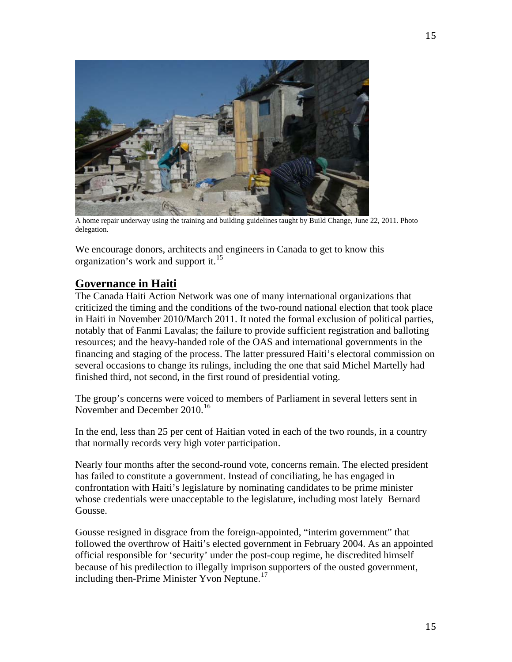

A home repair underway using the training and building guidelines taught by Build Change, June 22, 2011. Photo delegation.

We encourage donors, architects and engineers in Canada to get to know this organization's work and support it.<sup>[15](#page-16-14)</sup>

## **Governance in Haiti**

The Canada Haiti Action Network was one of many international organizations that criticized the timing and the conditions of the two-round national election that took place in Haiti in November 2010/March 2011. It noted the formal exclusion of political parties, notably that of Fanmi Lavalas; the failure to provide sufficient registration and balloting resources; and the heavy-handed role of the OAS and international governments in the financing and staging of the process. The latter pressured Haiti's electoral commission on several occasions to change its rulings, including the one that said Michel Martelly had finished third, not second, in the first round of presidential voting.

The group's concerns were voiced to members of Parliament in several letters sent in November and December 2010.<sup>[16](#page-16-15)</sup>

In the end, less than 25 per cent of Haitian voted in each of the two rounds, in a country that normally records very high voter participation.

Nearly four months after the second-round vote, concerns remain. The elected president has failed to constitute a government. Instead of conciliating, he has engaged in confrontation with Haiti's legislature by nominating candidates to be prime minister whose credentials were unacceptable to the legislature, including most lately Bernard Gousse.

Gousse resigned in disgrace from the foreign-appointed, "interim government" that followed the overthrow of Haiti's elected government in February 2004. As an appointed official responsible for 'security' under the post-coup regime, he discredited himself because of his predilection to illegally imprison supporters of the ousted government, including then-Prime Minister Yvon Neptune.<sup>[17](#page-16-16)</sup>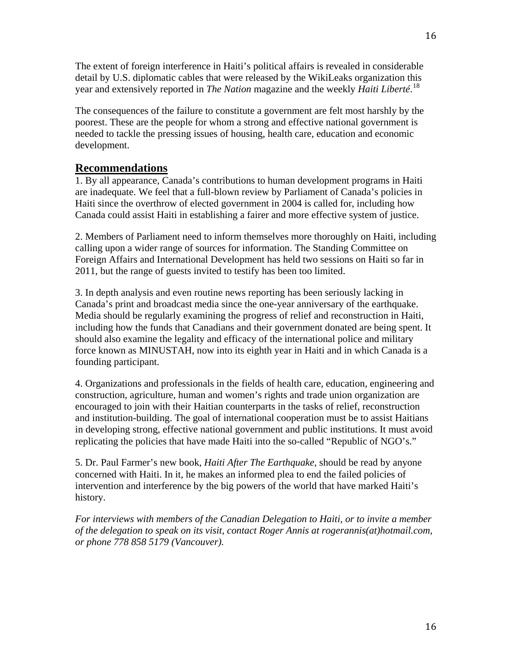The extent of foreign interference in Haiti's political affairs is revealed in considerable detail by U.S. diplomatic cables that were released by the WikiLeaks organization this year and extensively reported in *The Nation* magazine and the weekly *Haiti Liberté*. [18](#page-16-17)

The consequences of the failure to constitute a government are felt most harshly by the poorest. These are the people for whom a strong and effective national government is needed to tackle the pressing issues of housing, health care, education and economic development.

#### **Recommendations**

1. By all appearance, Canada's contributions to human development programs in Haiti are inadequate. We feel that a full-blown review by Parliament of Canada's policies in Haiti since the overthrow of elected government in 2004 is called for, including how Canada could assist Haiti in establishing a fairer and more effective system of justice.

2. Members of Parliament need to inform themselves more thoroughly on Haiti, including calling upon a wider range of sources for information. The Standing Committee on Foreign Affairs and International Development has held two sessions on Haiti so far in 2011, but the range of guests invited to testify has been too limited.

3. In depth analysis and even routine news reporting has been seriously lacking in Canada's print and broadcast media since the one-year anniversary of the earthquake. Media should be regularly examining the progress of relief and reconstruction in Haiti, including how the funds that Canadians and their government donated are being spent. It should also examine the legality and efficacy of the international police and military force known as MINUSTAH, now into its eighth year in Haiti and in which Canada is a founding participant.

4. Organizations and professionals in the fields of health care, education, engineering and construction, agriculture, human and women's rights and trade union organization are encouraged to join with their Haitian counterparts in the tasks of relief, reconstruction and institution-building. The goal of international cooperation must be to assist Haitians in developing strong, effective national government and public institutions. It must avoid replicating the policies that have made Haiti into the so-called "Republic of NGO's."

5. Dr. Paul Farmer's new book, *Haiti After The Earthquake,* should be read by anyone concerned with Haiti. In it, he makes an informed plea to end the failed policies of intervention and interference by the big powers of the world that have marked Haiti's history.

*For interviews with members of the Canadian Delegation to Haiti, or to invite a member of the delegation to speak on its visit, contact Roger Annis at rogerannis(at)hotmail.com, or phone 778 858 5179 (Vancouver).*